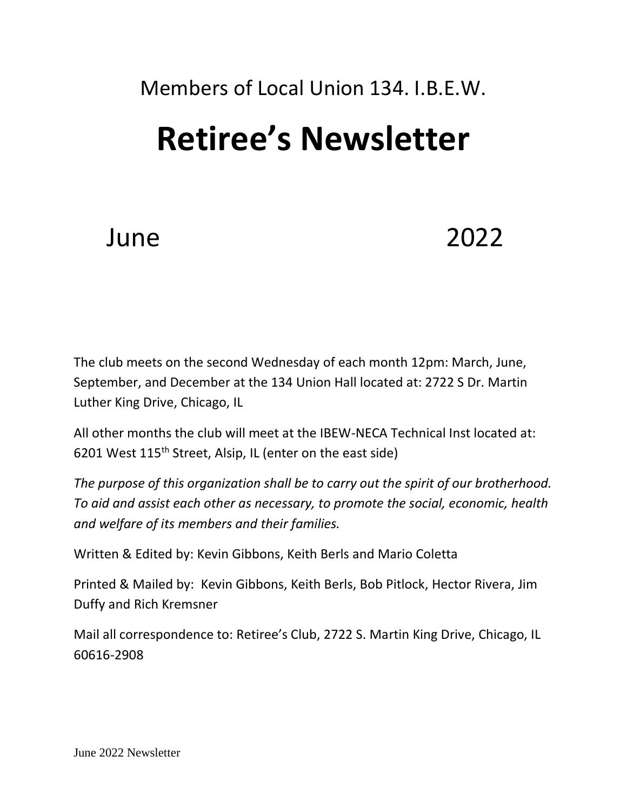## Members of Local Union 134. I.B.E.W.

## **Retiree's Newsletter**

## June 2022

The club meets on the second Wednesday of each month 12pm: March, June, September, and December at the 134 Union Hall located at: 2722 S Dr. Martin Luther King Drive, Chicago, IL

All other months the club will meet at the IBEW-NECA Technical Inst located at: 6201 West 115th Street, Alsip, IL (enter on the east side)

*The purpose of this organization shall be to carry out the spirit of our brotherhood. To aid and assist each other as necessary, to promote the social, economic, health and welfare of its members and their families.*

Written & Edited by: Kevin Gibbons, Keith Berls and Mario Coletta

Printed & Mailed by: Kevin Gibbons, Keith Berls, Bob Pitlock, Hector Rivera, Jim Duffy and Rich Kremsner

Mail all correspondence to: Retiree's Club, 2722 S. Martin King Drive, Chicago, IL 60616-2908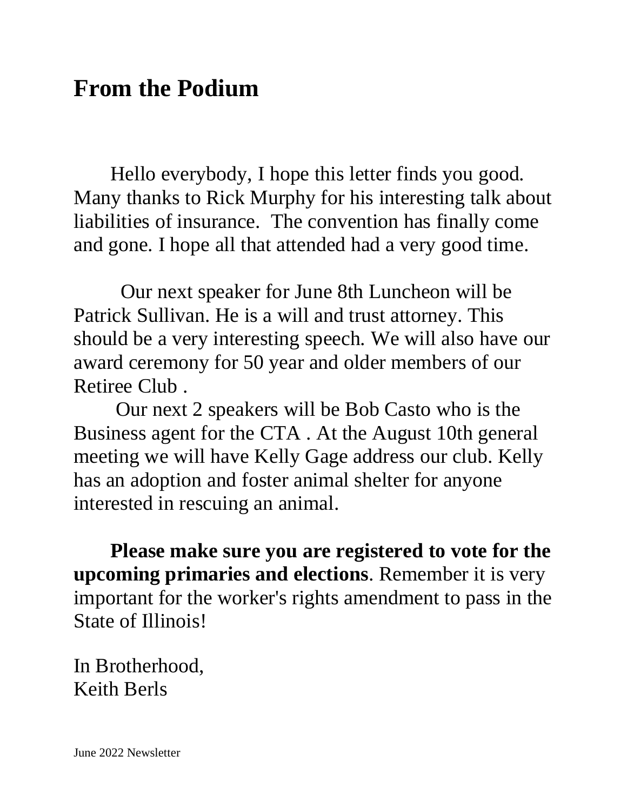### **From the Podium**

Hello everybody, I hope this letter finds you good. Many thanks to Rick Murphy for his interesting talk about liabilities of insurance. The convention has finally come and gone. I hope all that attended had a very good time.

 Our next speaker for June 8th Luncheon will be Patrick Sullivan. He is a will and trust attorney. This should be a very interesting speech. We will also have our award ceremony for 50 year and older members of our Retiree Club .

Our next 2 speakers will be Bob Casto who is the Business agent for the CTA . At the August 10th general meeting we will have Kelly Gage address our club. Kelly has an adoption and foster animal shelter for anyone interested in rescuing an animal.

**Please make sure you are registered to vote for the upcoming primaries and elections**. Remember it is very important for the worker's rights amendment to pass in the State of Illinois!

In Brotherhood, Keith Berls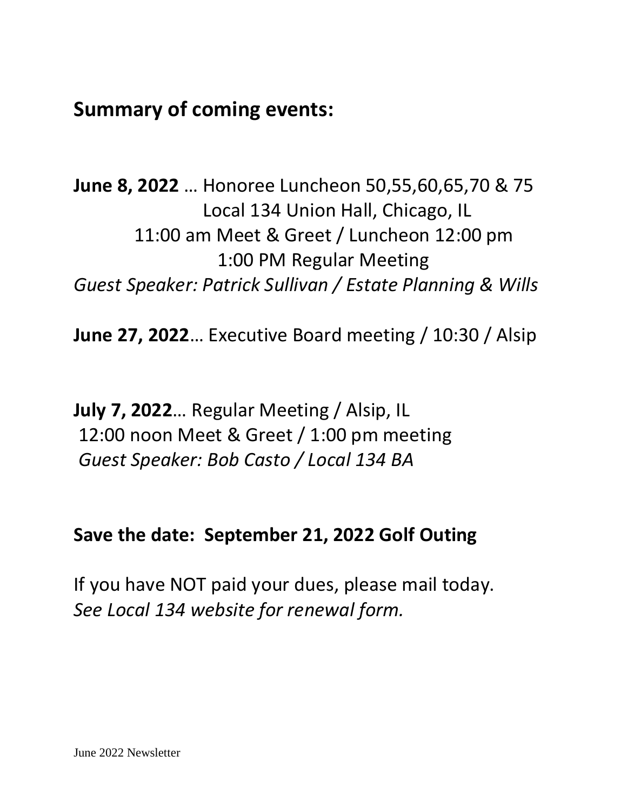**Summary of coming events:**

**June 8, 2022** … Honoree Luncheon 50,55,60,65,70 & 75 Local 134 Union Hall, Chicago, IL 11:00 am Meet & Greet / Luncheon 12:00 pm 1:00 PM Regular Meeting *Guest Speaker: Patrick Sullivan / Estate Planning & Wills*

**June 27, 2022**… Executive Board meeting / 10:30 / Alsip

**July 7, 2022**… Regular Meeting / Alsip, IL 12:00 noon Meet & Greet / 1:00 pm meeting *Guest Speaker: Bob Casto / Local 134 BA*

#### **Save the date: September 21, 2022 Golf Outing**

If you have NOT paid your dues, please mail today. *See Local 134 website for renewal form.*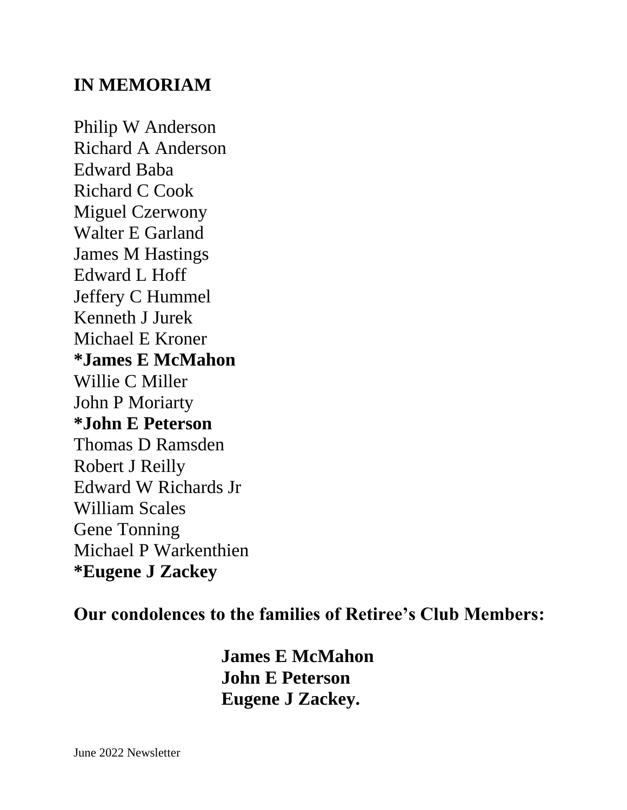#### **IN MEMORIAM**

Philip W Anderson Richard A Anderson Edward Baba Richard C Cook Miguel Czerwony Walter E Garland James M Hastings Edward L Hoff Jeffery C Hummel Kenneth J Jurek Michael E Kroner **\*James E McMahon** Willie C Miller John P Moriarty **\*John E Peterson** Thomas D Ramsden Robert J Reilly Edward W Richards Jr William Scales Gene Tonning Michael P Warkenthien **\*Eugene J Zackey**

#### **Our condolences to the families of Retiree's Club Members:**

**James E McMahon John E Peterson Eugene J Zackey.**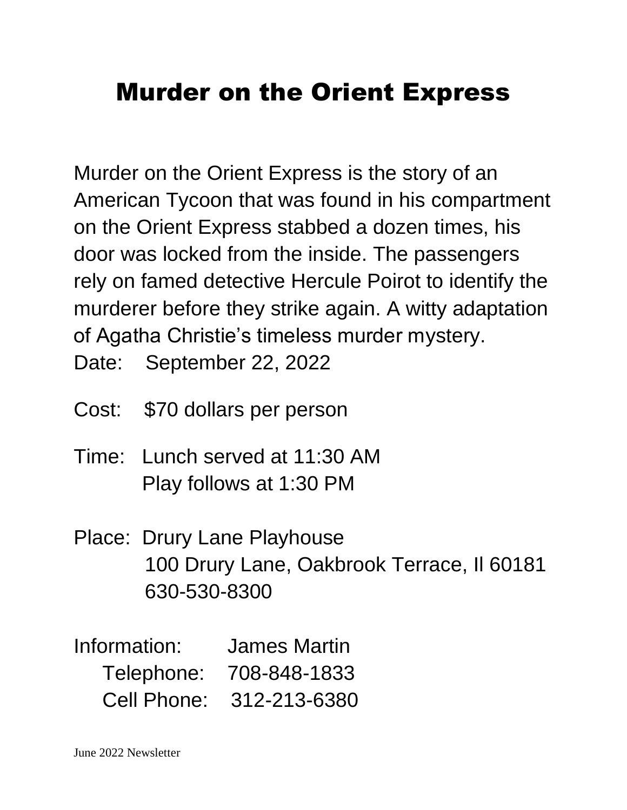## Murder on the Orient Express

Murder on the Orient Express is the story of an American Tycoon that was found in his compartment on the Orient Express stabbed a dozen times, his door was locked from the inside. The passengers rely on famed detective Hercule Poirot to identify the murderer before they strike again. A witty adaptation of Agatha Christie's timeless murder mystery.

Date: September 22, 2022

- Cost: \$70 dollars per person
- Time: Lunch served at 11:30 AM Play follows at 1:30 PM
- Place: Drury Lane Playhouse 100 Drury Lane, Oakbrook Terrace, Il 60181 630-530-8300
- Information: James Martin Telephone: 708-848-1833 Cell Phone: 312-213-6380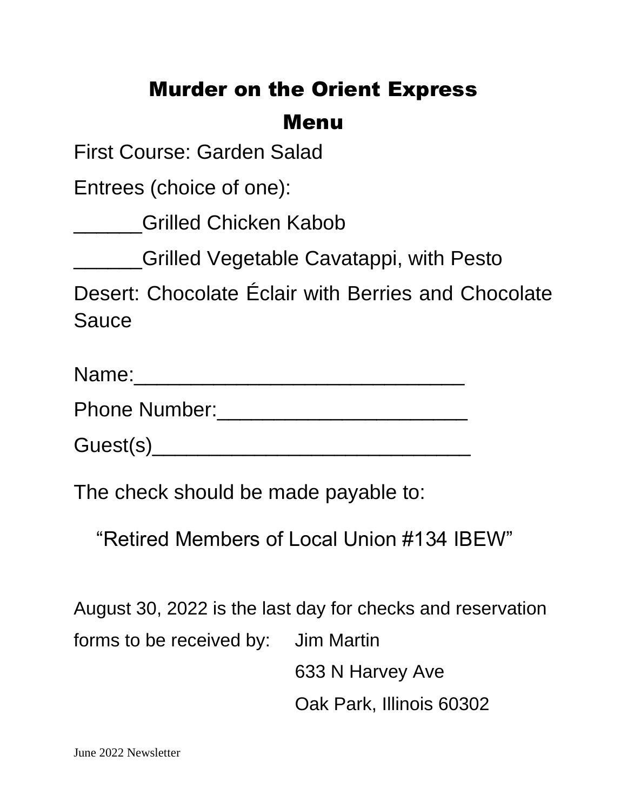#### Murder on the Orient Express

#### Menu

First Course: Garden Salad

Entrees (choice of one):

**Letter Chicken Kabob** 

\_\_\_\_\_\_Grilled Vegetable Cavatappi, with Pesto

Desert: Chocolate Éclair with Berries and Chocolate **Sauce** 

| Name: |  |  |  |  |
|-------|--|--|--|--|
| --    |  |  |  |  |

Phone Number:\_\_\_\_\_\_\_\_\_\_\_\_\_\_\_\_\_\_\_\_\_\_

Guest(s)\_\_\_\_\_\_\_\_\_\_\_\_\_\_\_\_\_\_\_\_\_\_\_\_\_\_\_\_

The check should be made payable to:

"Retired Members of Local Union #134 IBEW"

August 30, 2022 is the last day for checks and reservation forms to be received by: Jim Martin 633 N Harvey Ave Oak Park, Illinois 60302